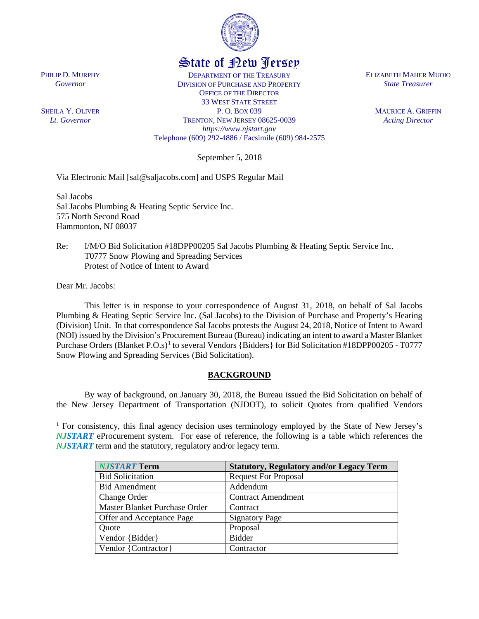

# State of New Jersey

DEPARTMENT OF THE TREASURY DIVISION OF PURCHASE AND PROPERTY OFFICE OF THE DIRECTOR 33 WEST STATE STREET P. O. BOX 039 TRENTON, NEW JERSEY 08625-0039 *https://www.njstart.gov* Telephone (609) 292-4886 / Facsimile (609) 984-2575

September 5, 2018

## Via Electronic Mail [sal@saljacobs.com] and USPS Regular Mail

Sal Jacobs Sal Jacobs Plumbing & Heating Septic Service Inc. 575 North Second Road Hammonton, NJ 08037

Re: I/M/O Bid Solicitation #18DPP00205 Sal Jacobs Plumbing & Heating Septic Service Inc. T0777 Snow Plowing and Spreading Services Protest of Notice of Intent to Award

Dear Mr. Jacobs:

l

This letter is in response to your correspondence of August 31, 2018, on behalf of Sal Jacobs Plumbing & Heating Septic Service Inc. (Sal Jacobs) to the Division of Purchase and Property's Hearing (Division) Unit. In that correspondence Sal Jacobs protests the August 24, 2018, Notice of Intent to Award (NOI) issued by the Division's Procurement Bureau (Bureau) indicating an intent to award a Master Blanket Purchase Orders (Blanket P.O.s)<sup>[1](#page-0-0)</sup> to several Vendors {Bidders} for Bid Solicitation #18DPP00205 - T0777 Snow Plowing and Spreading Services (Bid Solicitation).

#### **BACKGROUND**

By way of background, on January 30, 2018, the Bureau issued the Bid Solicitation on behalf of the New Jersey Department of Transportation (NJDOT), to solicit Quotes from qualified Vendors

<span id="page-0-0"></span><sup>1</sup> For consistency, this final agency decision uses terminology employed by the State of New Jersey's *NJSTART* eProcurement system. For ease of reference, the following is a table which references the *NJSTART* term and the statutory, regulatory and/or legacy term.

| <b>NJSTART Term</b>           | <b>Statutory, Regulatory and/or Legacy Term</b> |
|-------------------------------|-------------------------------------------------|
| <b>Bid Solicitation</b>       | <b>Request For Proposal</b>                     |
| <b>Bid Amendment</b>          | Addendum                                        |
| <b>Change Order</b>           | <b>Contract Amendment</b>                       |
| Master Blanket Purchase Order | Contract                                        |
| Offer and Acceptance Page     | <b>Signatory Page</b>                           |
| Quote                         | Proposal                                        |
| Vendor {Bidder}               | <b>Bidder</b>                                   |
| Vendor {Contractor}           | Contractor                                      |

PHILIP D. MURPHY *Governor*

SHEILA Y. OLIVER *Lt. Governor*

ELIZABETH MAHER MUOIO *State Treasurer*

> MAURICE A. GRIFFIN *Acting Director*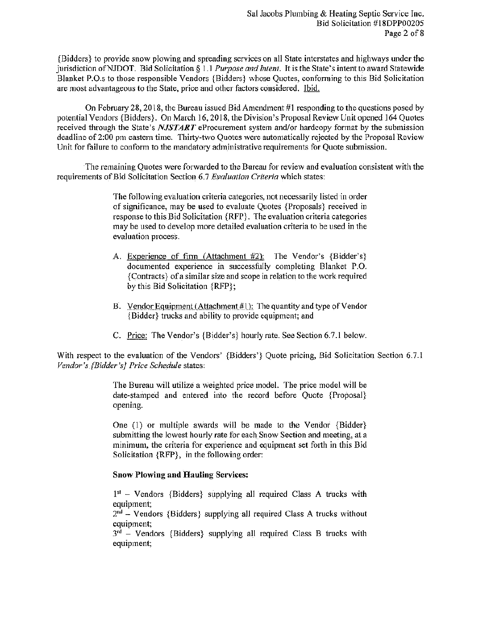{Bidders} to provide snow plowing and spreading services on all State interstates and highways under the jurisdiction of NJDOT. Bid Solicitation § 1.1 Purpose and Intent. It is the State's intent to award Statewide Blanket P.O.s to those responsible Vendors {Bidders} whose Ouotes, conforming to this Bid Solicitation are most advantageous to the State, price and other factors considered. Ibid.

On February 28, 2018, the Bureau issued Bid Amendment #1 responding to the questions posed by potential Vendors {Bidders}. On March 16, 2018, the Division's Proposal Review Unit opened 164 Quotes received through the State's NJSTART eProcurement system and/or hardcopy format by the submission deadline of 2:00 pm eastern time. Thirty-two Quotes were automatically rejected by the Proposal Review Unit for failure to conform to the mandatory administrative requirements for Quote submission.

The remaining Quotes were forwarded to the Bureau for review and evaluation consistent with the requirements of Bid Solicitation Section 6.7 Evaluation Criteria which states:

> The following evaluation criteria categories, not necessarily listed in order of significance, may be used to evaluate Quotes {Proposals} received in response to this Bid Solicitation {RFP}. The evaluation criteria categories may be used to develop more detailed evaluation criteria to be used in the evaluation process.

- A. Experience of firm (Attachment #2): The Vendor's {Bidder's} documented experience in successfully completing Blanket P.O. {Contracts} of a similar size and scope in relation to the work required by this Bid Solicitation {RFP};
- B. Vendor Equipment (Attachment #1): The quantity and type of Vendor {Bidder} trucks and ability to provide equipment; and
- C. Price: The Vendor's {Bidder's} hourly rate. See Section 6.7.1 below.

With respect to the evaluation of the Vendors' {Bidders'} Quote pricing, Bid Solicitation Section 6.7.1 Vendor's {Bidder's} Price Schedule states:

> The Bureau will utilize a weighted price model. The price model will be date-stamped and entered into the record before Quote {Proposal} opening.

> One (1) or multiple awards will be made to the Vendor {Bidder} submitting the lowest hourly rate for each Snow Section and meeting, at a minimum, the criteria for experience and equipment set forth in this Bid Solicitation {RFP}, in the following order:

#### **Snow Plowing and Hauling Services:**

 $1<sup>st</sup>$  – Vendors {Bidders} supplying all required Class A trucks with equipment:

 $2<sup>nd</sup>$  – Vendors {Bidders} supplying all required Class A trucks without equipment;

 $3<sup>rd</sup>$  – Vendors {Bidders} supplying all required Class B trucks with equipment;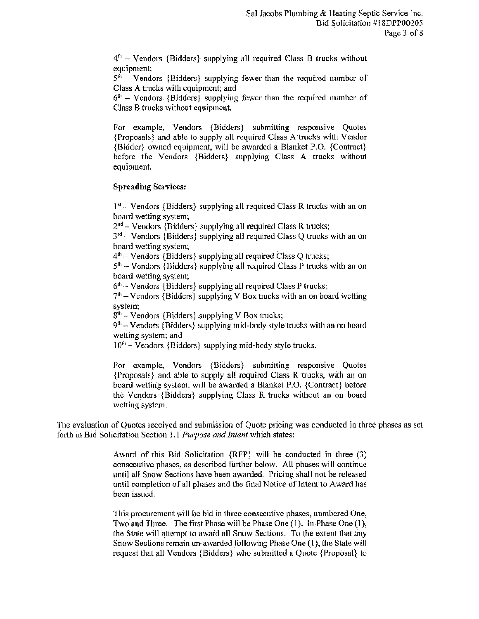$4<sup>th</sup>$  – Vendors {Bidders} supplying all required Class B trucks without equipment;

 $5<sup>th</sup>$  – Vendors {Bidders} supplying fewer than the required number of Class A trucks with equipment; and

 $6<sup>th</sup>$  – Vendors {Bidders} supplying fewer than the required number of Class B trucks without equipment.

For example, Vendors {Bidders} submitting responsive Quotes {Proposals} and able to supply all required Class A trucks with Vendor {Bidder} owned equipment, will be awarded a Blanket P.O. {Contract} before the Vendors {Bidders} supplying Class A trucks without equipment.

#### **Spreading Services:**

 $1<sup>st</sup>$  – Vendors {Bidders} supplying all required Class R trucks with an on board wetting system:

 $2<sup>nd</sup>$  – Vendors {Bidders} supplying all required Class R trucks;

 $3<sup>rd</sup>$  – Vendors {Bidders} supplying all required Class Q trucks with an on board wetting system:

 $4<sup>th</sup>$  – Vendors {Bidders} supplying all required Class Q trucks;

 $5<sup>th</sup>$  – Vendors {Bidders} supplying all required Class P trucks with an on board wetting system;

 $6<sup>th</sup>$  – Vendors {Bidders} supplying all required Class P trucks;

 $7<sup>th</sup>$  – Vendors {Bidders} supplying V Box trucks with an on board wetting system:

 $8<sup>th</sup>$  – Vendors {Bidders} supplying V Box trucks;

 $9<sup>th</sup>$  – Vendors {Bidders} supplying mid-body style trucks with an on board wetting system; and

 $10^{th}$  – Vendors {Bidders} supplying mid-body style trucks.

For example, Vendors {Bidders} submitting responsive Quotes {Proposals} and able to supply all required Class R trucks, with an on board wetting system, will be awarded a Blanket P.O. {Contract} before the Vendors {Bidders} supplying Class R trucks without an on board wetting system.

The evaluation of Quotes received and submission of Quote pricing was conducted in three phases as set forth in Bid Solicitation Section 1.1 Purpose and Intent which states:

> Award of this Bid Solicitation {RFP} will be conducted in three (3) consecutive phases, as described further below. All phases will continue until all Snow Sections have been awarded. Pricing shall not be released until completion of all phases and the final Notice of Intent to Award has been issued.

> This procurement will be bid in three consecutive phases, numbered One, Two and Three. The first Phase will be Phase One (1). In Phase One (1), the State will attempt to award all Snow Sections. To the extent that any Snow Sections remain un-awarded following Phase One (1), the State will request that all Vendors {Bidders} who submitted a Quote {Proposal} to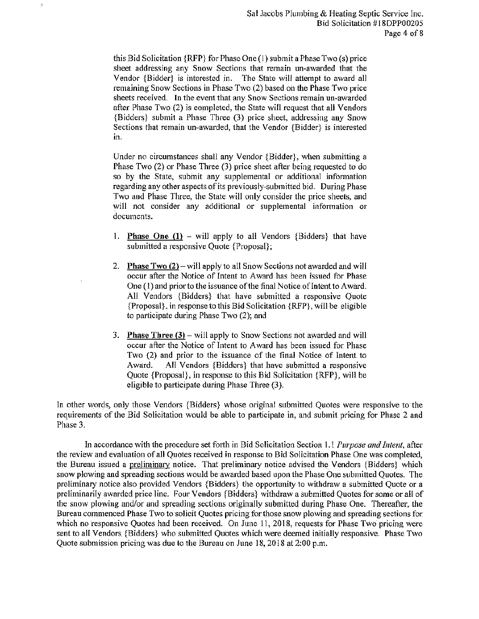this Bid Solicitation  ${RFP}$  for Phase One (1) submit a Phase Two (s) price sheet addressing any Snow Sections that remain un-awarded that the Vendor {Bidder} is interested in. The State will attempt to award all remaining Snow Sections in Phase Two (2) based on the Phase Two price sheets received. In the event that any Snow Sections remain un-awarded after Phase Two (2) is completed, the State will request that all Vendors {Bidders} submit a Phase Three (3) price sheet, addressing any Snow Sections that remain un-awarded, that the Vendor {Bidder} is interested in.

 $\mathbb{R}$ 

Under no circumstances shall any Vendor {Bidder}, when submitting a Phase Two (2) or Phase Three (3) price sheet after being requested to do so by the State, submit any supplemental or additional information regarding any other aspects of its previously-submitted bid. During Phase Two and Phase Three, the State will only consider the price sheets, and will not consider any additional or supplemental information or documents.

- 1. **Phase One (1)** will apply to all Vendors {Bidders} that have submitted a responsive Quote {Proposal};
- 2. Phase Two  $(2)$  will apply to all Snow Sections not awarded and will occur after the Notice of Intent to Award has been issued for Phase One (1) and prior to the issuance of the final Notice of Intent to Award. All Vendors {Bidders} that have submitted a responsive Quote {Proposal}, in response to this Bid Solicitation {RFP}, will be eligible to participate during Phase Two (2); and
- 3. Phase Three  $(3)$  will apply to Snow Sections not awarded and will occur after the Notice of Intent to Award has been issued for Phase Two (2) and prior to the issuance of the final Notice of Intent to All Vendors {Bidders} that have submitted a responsive Award. Quote {Proposal}, in response to this Bid Solicitation {RFP}, will be eligible to participate during Phase Three (3).

In other words, only those Vendors {Bidders} whose original submitted Quotes were responsive to the requirements of the Bid Solicitation would be able to participate in, and submit pricing for Phase 2 and Phase 3.

In accordance with the procedure set forth in Bid Solicitation Section 1.1 Purpose and Intent, after the review and evaluation of all Quotes received in response to Bid Solicitation Phase One was completed, the Bureau issued a preliminary notice. That preliminary notice advised the Vendors {Bidders} which snow plowing and spreading sections would be awarded based upon the Phase One submitted Ouotes. The preliminary notice also provided Vendors {Bidders} the opportunity to withdraw a submitted Quote or a preliminarily awarded price line. Four Vendors {Bidders} withdraw a submitted Quotes for some or all of the snow plowing and/or and spreading sections originally submitted during Phase One. Thereafter, the Bureau commenced Phase Two to solicit Quotes pricing for those snow plowing and spreading sections for which no responsive Quotes had been received. On June 11, 2018, requests for Phase Two pricing were sent to all Vendors {Bidders} who submitted Quotes which were deemed initially responsive. Phase Two Quote submission pricing was due to the Bureau on June 18, 2018 at 2:00 p.m.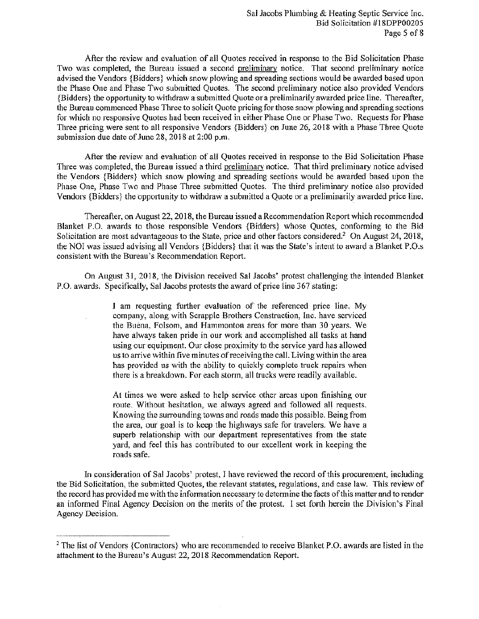After the review and evaluation of all Quotes received in response to the Bid Solicitation Phase Two was completed, the Bureau issued a second preliminary notice. That second preliminary notice advised the Vendors {Bidders} which snow plowing and spreading sections would be awarded based upon the Phase One and Phase Two submitted Quotes. The second preliminary notice also provided Vendors {Bidders} the opportunity to withdraw a submitted Quote or a preliminarily awarded price line. Thereafter, the Bureau commenced Phase Three to solicit Quote pricing for those snow plowing and spreading sections for which no responsive Quotes had been received in either Phase One or Phase Two. Requests for Phase Three pricing were sent to all responsive Vendors {Bidders} on June 26, 2018 with a Phase Three Quote submission due date of June 28, 2018 at 2:00 p.m.

After the review and evaluation of all Quotes received in response to the Bid Solicitation Phase Three was completed, the Bureau issued a third preliminary notice. That third preliminary notice advised the Vendors {Bidders} which snow plowing and spreading sections would be awarded based upon the Phase One, Phase Two and Phase Three submitted Quotes. The third preliminary notice also provided Vendors {Bidders} the opportunity to withdraw a submitted a Quote or a preliminarily awarded price line.

Thereafter, on August 22, 2018, the Bureau issued a Recommendation Report which recommended Blanket P.O. awards to those responsible Vendors {Bidders} whose Quotes, conforming to the Bid Solicitation are most advantageous to the State, price and other factors considered.<sup>2</sup> On August 24, 2018, the NOI was issued advising all Vendors {Bidders} that it was the State's intent to award a Blanket P.O.s consistent with the Bureau's Recommendation Report.

On August 31, 2018, the Division received Sal Jacobs' protest challenging the intended Blanket P.O. awards. Specifically, Sal Jacobs protests the award of price line 367 stating:

> I am requesting further evaluation of the referenced price line. My company, along with Scrapple Brothers Construction, Inc. have serviced the Buena, Folsom, and Hammonton areas for more than 30 years. We have always taken pride in our work and accomplished all tasks at hand using our equipment. Our close proximity to the service yard has allowed us to arrive within five minutes of receiving the call. Living within the area has provided us with the ability to quickly complete truck repairs when there is a breakdown. For each storm, all trucks were readily available.

> At times we were asked to help service other areas upon finishing our route. Without hesitation, we always agreed and followed all requests. Knowing the surrounding towns and roads made this possible. Being from the area, our goal is to keep the highways safe for travelers. We have a superb relationship with our department representatives from the state yard, and feel this has contributed to our excellent work in keeping the roads safe.

In consideration of Sal Jacobs' protest, I have reviewed the record of this procurement, including the Bid Solicitation, the submitted Quotes, the relevant statutes, regulations, and case law. This review of the record has provided me with the information necessary to determine the facts of this matter and to render an informed Final Agency Decision on the merits of the protest. I set forth herein the Division's Final Agency Decision.

<sup>&</sup>lt;sup>2</sup> The list of Vendors {Contractors} who are recommended to receive Blanket P.O. awards are listed in the attachment to the Bureau's August 22, 2018 Recommendation Report.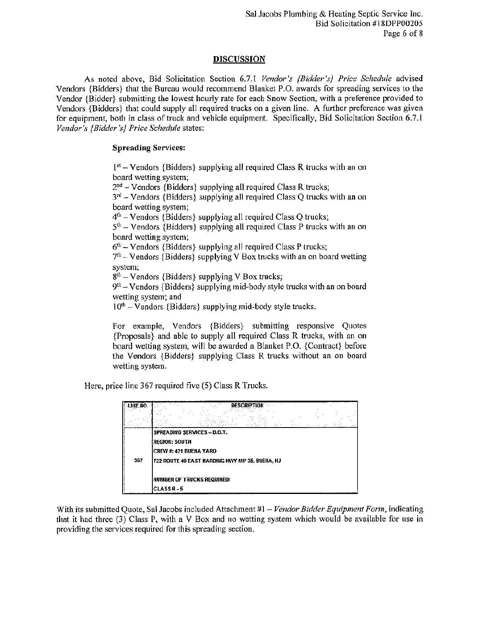## **DISCUSSION**

As noted above, Bid Solicitation Section 6.7.1 Vendor's {Bidder's} Price Schedule advised Vendors {Bidders} that the Bureau would recommend Blanket P.O. awards for spreading services to the Vendor {Bidder} submitting the lowest hourly rate for each Snow Section, with a preference provided to Vendors  $\{Bidders\}$  that could supply all required trucks on a given line. A further preference was given for equipment, both in class of truck and vehicle equipment. Specifically, Bid Solicitation Section 6.7.1 Vendor's {Bidder's} Price Schedule states:

#### **Spreading Services:**

1st - Vendors {Bidders} supplying all required Class R trucks with an on board wetting system;  $2<sup>nd</sup>$  – Vendors {Bidders} supplying all required Class R trucks;  $3<sup>rd</sup>$  – Vendors {Bidders} supplying all required Class Q trucks with an on board wetting system;  $4<sup>th</sup>$  – Vendors {Bidders} supplying all required Class Q trucks;  $5<sup>th</sup>$  – Vendors {Bidders} supplying all required Class P trucks with an on board wetting system;  $6<sup>th</sup>$  – Vendors {Bidders} supplying all required Class P trucks;  $7<sup>th</sup>$  – Vendors {Bidders} supplying V Box trucks with an on board wetting system;  $8<sup>th</sup>$  – Vendors {Bidders} supplying V Box trucks;  $9<sup>th</sup>$  – Vendors {Bidders} supplying mid-body style trucks with an on board wetting system; and  $10<sup>th</sup>$  – Vendors {Bidders} supplying mid-body style trucks.

For example, Vendors {Bidders} submitting responsive Quotes {Proposals} and able to supply all required Class R trucks, with an on board wetting system, will be awarded a Blanket P.O. {Contract} before the Vendors {Bidders} supplying Class R trucks without an on board wetting system.

Here, price line 367 required five (5) Class R Trucks.

| LINE NO. | <b>DESCRIPTI</b>                                |  |
|----------|-------------------------------------------------|--|
|          | SPREADING SERVICES - D.O.T.                     |  |
|          | REGION: SOUTH                                   |  |
|          | CREW #: 421 BUENA YARD                          |  |
| 367      | 722 ROUTE 40 EAST HARDING HWY MP 35, BUENA, IIJ |  |
|          | <b>HUMBER OF TRUCKS REQUIRED:</b>               |  |
|          | <b>CLASS R-5</b>                                |  |

With its submitted Quote, Sal Jacobs included Attachment #1 – Vendor Bidder Equipment Form, indicating that it had three (3) Class P, with a V Box and no wetting system which would be available for use in providing the services required for this spreading section.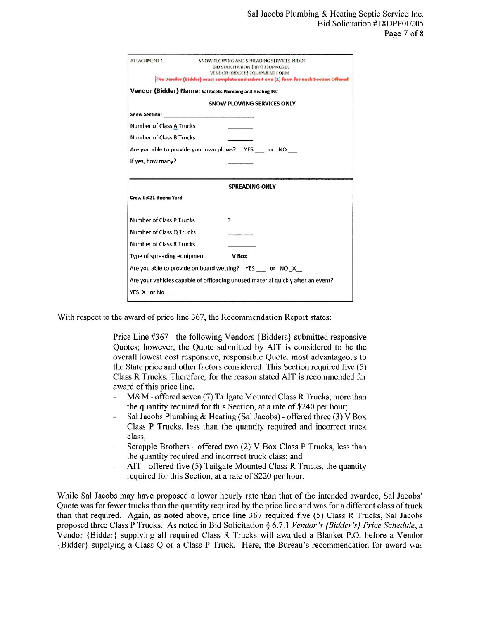| ATTACHMENT 1                    | SNOW PLOWING AND SPREADING SERVICES NJDOT<br>BID SOLICITATION {RFP} 18DPP00205                                       |
|---------------------------------|----------------------------------------------------------------------------------------------------------------------|
|                                 | VENDOR (BIDDER) EQUIPMENT FORM<br>The Vendor (Bidder) must complete and submit one (1) form for each Section Offered |
|                                 |                                                                                                                      |
|                                 | Vendor {Bidder} Name: Sal Jacobs Plumbing and Heating INC                                                            |
|                                 | SNOW PLOWING SERVICES ONLY                                                                                           |
|                                 |                                                                                                                      |
| <b>Number of Class A Trucks</b> |                                                                                                                      |
| <b>Number of Class B Trucks</b> |                                                                                                                      |
|                                 | Are you able to provide your own plows? YES or NO                                                                    |
| If yes, how many?               |                                                                                                                      |
|                                 |                                                                                                                      |
|                                 | <b>SPREADING ONLY</b>                                                                                                |
| Crew #:421 Buena Yard           |                                                                                                                      |
| <b>Number of Class P Trucks</b> | 3                                                                                                                    |
| Number of Class Q Trucks        |                                                                                                                      |
| <b>Number of Class R Trucks</b> |                                                                                                                      |
| Type of spreading equipment     | <b>V</b> Box                                                                                                         |
|                                 | Are you able to provide on board wetting? YES or NO X                                                                |
|                                 | Are your vehicles capable of offloading unused material quickly after an event?                                      |
| YES X or No                     |                                                                                                                      |

With respect to the award of price line 367, the Recommendation Report states:

Price Line #367 - the following Vendors {Bidders} submitted responsive Quotes; however, the Quote submitted by AIT is considered to be the overall lowest cost responsive, responsible Quote, most advantageous to the State price and other factors considered. This Section required five (5) Class R Trucks. Therefore, for the reason stated AIT is recommended for award of this price line.

- M&M offered seven (7) Tailgate Mounted Class R Trucks, more than the quantity required for this Section, at a rate of \$240 per hour;
- Sal Jacobs Plumbing & Heating (Sal Jacobs) offered three (3) V Box Class P Trucks, less than the quantity required and incorrect truck class:
- Scrapple Brothers offered two (2) V Box Class P Trucks, less than the quantity required and incorrect truck class; and
- AIT offered five (5) Tailgate Mounted Class R Trucks, the quantity required for this Section, at a rate of \$220 per hour.

While Sal Jacobs may have proposed a lower hourly rate than that of the intended awardee, Sal Jacobs' Quote was for fewer trucks than the quantity required by the price line and was for a different class of truck than that required. Again, as noted above, price line 367 required five (5) Class R Trucks, Sal Jacobs proposed three Class P Trucks. As noted in Bid Solicitation § 6.7.1 Vendor's {Bidder's} Price Schedule, a Vendor {Bidder} supplying all required Class R Trucks will awarded a Blanket P.O. before a Vendor {Bidder} supplying a Class Q or a Class P Truck. Here, the Bureau's recommendation for award was